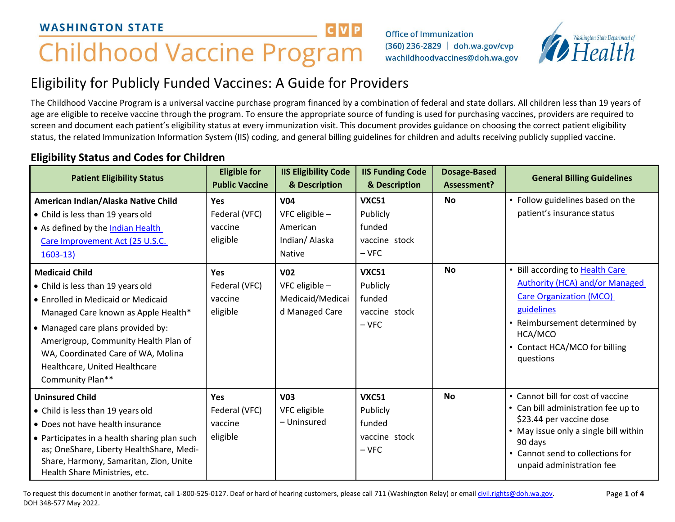# **Childhood Vaccine Program**

Office of Immunization (360) 236-2829 doh.wa.gov/cvp wachildhoodvaccines@doh.wa.gov



# Eligibility for Publicly Funded Vaccines: A Guide for Providers

The Childhood Vaccine Program is a universal vaccine purchase program financed by a combination of federal and state dollars. All children less than 19 years of age are eligible to receive vaccine through the program. To ensure the appropriate source of funding is used for purchasing vaccines, providers are required to screen and document each patient's eligibility status at every immunization visit. This document provides guidance on choosing the correct patient eligibility status, the related Immunization Information System (IIS) coding, and general billing guidelines for children and adults receiving publicly supplied vaccine.

**CVP** 

#### **Patient Eligibility Status Eligible for Public Vaccine IIS Eligibility Code & Description IIS Funding Code & Description Dosage-Based Assessment? General Billing Guidelines American Indian/Alaska Native Child** • Child is less than 19 years old • As defined by th[e Indian Health](https://www.ihs.gov/ihcia/includes/themes/responsive2017/display_objects/documents/home/USCode_Title25_Chapter%2018.pdf)  [Care](https://www.ihs.gov/ihcia/includes/themes/responsive2017/display_objects/documents/home/USCode_Title25_Chapter%2018.pdf) [Improvement Act \(25 U.S.C.](https://www.ihs.gov/ihcia/) [1603-13\)](https://www.ihs.gov/ihcia/) **Yes** Federal (VFC) vaccine eligible **V04** VFC eligible – American Indian/ Alaska Native **VXC51** Publicly funded vaccine stock – VFC **No** • Follow guidelines based on the patient's insurance status **Medicaid Child** • Child is less than 19 years old • Enrolled in Medicaid or Medicaid Managed Care known as Apple Health\* • Managed care plans provided by: Amerigroup, Community Health Plan of WA, Coordinated Care of WA, Molina Healthcare, United Healthcare Community Plan\*\* **Yes** Federal (VFC) vaccine eligible **V02** VFC eligible – Medicaid/Medicai d Managed Care **VXC51** Publicly funded vaccine stock – VFC **No •** Bill according to Health Care [Authority \(HCA\) and/or Managed](https://www.hca.wa.gov/assets/billers-and-providers/EPSDT-bi-20210401.pdf)  [Care Organization \(MCO\)](https://www.hca.wa.gov/assets/billers-and-providers/EPSDT-bi-20210401.pdf)  [guidelines](https://www.hca.wa.gov/assets/billers-and-providers/EPSDT-bi-20210401.pdf) • Reimbursement determined by HCA/MCO • Contact HCA/MCO for billing questions **Uninsured Child** • Child is less than 19 years old • Does not have health insurance • Participates in a health sharing plan such as; OneShare, Liberty HealthShare, Medi-Share, Harmony, Samaritan, Zion, Unite Health Share Ministries, etc. **Yes** Federal (VFC) vaccine eligible **V03** VFC eligible – Uninsured **VXC51** Publicly funded vaccine stock – VFC **No** • Cannot bill for cost of vaccine • Can bill administration fee up to \$23.44 per vaccine dose • May issue only a single bill within 90 days • Cannot send to collections for unpaid administration fee

# **Eligibility Status and Codes for Children**

To request this document in another format, call 1-800-525-0127. Deaf or hard of hearing customers, please call 711 (Washington Relay) or email [civil.rights@doh.wa.gov.](mailto:civil.rights@doh.wa.gov) DOH 348-577 May 2022.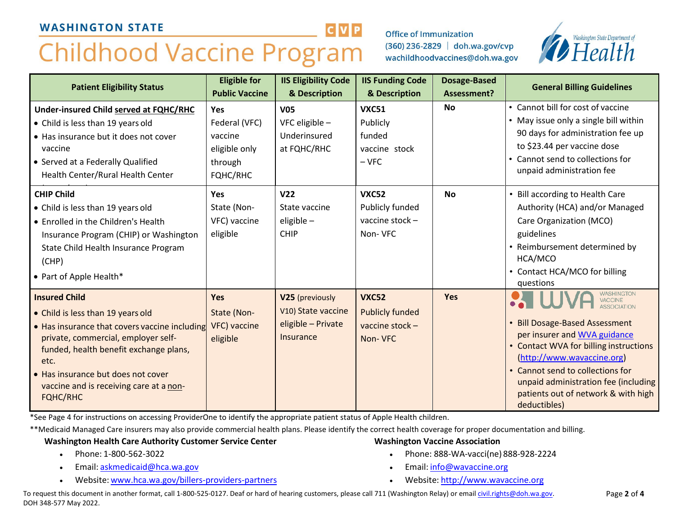# **Childhood Vaccine Program**

**Office of Immunization** (360) 236-2829 doh.wa.gov/cvp wachildhoodvaccines@doh.wa.gov



| <b>Patient Eligibility Status</b>                                                                                                                                                                                                                                                                       | <b>Eligible for</b><br><b>Public Vaccine</b>                                   | <b>IIS Eligibility Code</b><br>& Description                                    | <b>IIS Funding Code</b><br>& Description                             | <b>Dosage-Based</b><br>Assessment? | <b>General Billing Guidelines</b>                                                                                                                                                                                                                                                                                                    |
|---------------------------------------------------------------------------------------------------------------------------------------------------------------------------------------------------------------------------------------------------------------------------------------------------------|--------------------------------------------------------------------------------|---------------------------------------------------------------------------------|----------------------------------------------------------------------|------------------------------------|--------------------------------------------------------------------------------------------------------------------------------------------------------------------------------------------------------------------------------------------------------------------------------------------------------------------------------------|
| Under-insured Child served at FQHC/RHC<br>• Child is less than 19 years old<br>• Has insurance but it does not cover<br>vaccine<br>• Served at a Federally Qualified<br>Health Center/Rural Health Center                                                                                               | <b>Yes</b><br>Federal (VFC)<br>vaccine<br>eligible only<br>through<br>FQHC/RHC | <b>V05</b><br>VFC eligible $-$<br>Underinsured<br>at FQHC/RHC                   | <b>VXC51</b><br>Publicly<br>funded<br>vaccine stock<br>$-VFC$        | <b>No</b>                          | • Cannot bill for cost of vaccine<br>• May issue only a single bill within<br>90 days for administration fee up<br>to \$23.44 per vaccine dose<br>• Cannot send to collections for<br>unpaid administration fee                                                                                                                      |
| <b>CHIP Child</b><br>• Child is less than 19 years old<br>• Enrolled in the Children's Health<br>Insurance Program (CHIP) or Washington<br>State Child Health Insurance Program<br>(CHP)<br>• Part of Apple Health*                                                                                     | Yes<br>State (Non-<br>VFC) vaccine<br>eligible                                 | V <sub>22</sub><br>State vaccine<br>eligible -<br><b>CHIP</b>                   | <b>VXC52</b><br>Publicly funded<br>vaccine stock-<br>Non-VFC         | <b>No</b>                          | Bill according to Health Care<br>Authority (HCA) and/or Managed<br>Care Organization (MCO)<br>guidelines<br>• Reimbursement determined by<br>HCA/MCO<br>• Contact HCA/MCO for billing<br>questions                                                                                                                                   |
| <b>Insured Child</b><br>• Child is less than 19 years old<br>• Has insurance that covers vaccine including<br>private, commercial, employer self-<br>funded, health benefit exchange plans,<br>etc.<br>• Has insurance but does not cover<br>vaccine and is receiving care at a non-<br><b>FQHC/RHC</b> | <b>Yes</b><br>State (Non-<br>VFC) vaccine<br>eligible                          | V25 (previously<br>V10) State vaccine<br>eligible - Private<br><b>Insurance</b> | <b>VXC52</b><br><b>Publicly funded</b><br>vaccine stock -<br>Non-VFC | <b>Yes</b>                         | <b>WASHINGTON</b><br>VACCINE<br><b>ASSOCIATION</b><br><b>Bill Dosage-Based Assessment</b><br>per insurer and WVA guidance<br>• Contact WVA for billing instructions<br>(http://www.wavaccine.org)<br>• Cannot send to collections for<br>unpaid administration fee (including<br>patients out of network & with high<br>deductibles) |

\*See Page 4 for instructions on accessing ProviderOne to identify the appropriate patient status of Apple Health children.

\*\*Medicaid Managed Care insurers may also provide commercial health plans. Please identify the correct health coverage for proper documentation and billing.

#### **Washington Health Care Authority Customer Service Center**

- Phone: 1-800-562-3022
- Email: [askmedicaid@hca.wa.gov](mailto:askmedicaid@hca.wa.gov)
- Website: [www.hca.wa.gov/billers-providers-partners](http://www.hca.wa.gov/billers-providers-partners)
- **Washington Vaccine Association**
	- Phone: 888-WA-vacci(ne) 888-928-2224
	- Email: [info@wavaccine.org](mailto:info@wavaccine.org)
	- Website: [http://www.wavaccine.org](http://www.wavaccine.org/)

To request this document in another format, call 1-800-525-0127. Deaf or hard of hearing customers, please call 711 (Washington Relay) or email [civil.rights@doh.wa.gov.](mailto:civil.rights@doh.wa.gov) DOH 348-577 May 2022.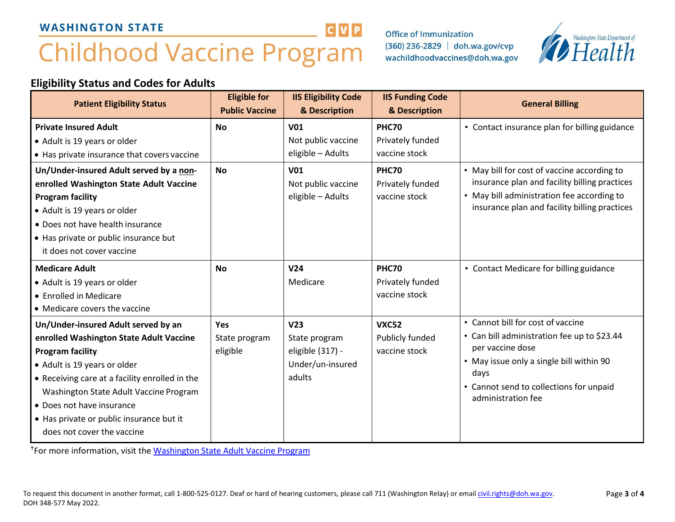# **Childhood Vaccine Program**

**Office of Immunization** (360) 236-2829 doh.wa.gov/cvp wachildhoodvaccines@doh.wa.gov



# **Eligibility Status and Codes for Adults**

| <b>Patient Eligibility Status</b>                                                                                                                                                                                                                                                                                                            | <b>Eligible for</b><br><b>Public Vaccine</b> | <b>IIS Eligibility Code</b><br>& Description                                       | <b>IIS Funding Code</b><br>& Description          | <b>General Billing</b>                                                                                                                                                                                                    |
|----------------------------------------------------------------------------------------------------------------------------------------------------------------------------------------------------------------------------------------------------------------------------------------------------------------------------------------------|----------------------------------------------|------------------------------------------------------------------------------------|---------------------------------------------------|---------------------------------------------------------------------------------------------------------------------------------------------------------------------------------------------------------------------------|
| <b>Private Insured Adult</b><br>• Adult is 19 years or older<br>• Has private insurance that covers vaccine                                                                                                                                                                                                                                  | <b>No</b>                                    | <b>V01</b><br>Not public vaccine<br>eligible - Adults                              | <b>PHC70</b><br>Privately funded<br>vaccine stock | • Contact insurance plan for billing guidance                                                                                                                                                                             |
| Un/Under-insured Adult served by a non-<br>enrolled Washington State Adult Vaccine<br><b>Program facility</b><br>• Adult is 19 years or older<br>• Does not have health insurance<br>• Has private or public insurance but<br>it does not cover vaccine                                                                                      | <b>No</b>                                    | <b>V01</b><br>Not public vaccine<br>eligible - Adults                              | <b>PHC70</b><br>Privately funded<br>vaccine stock | • May bill for cost of vaccine according to<br>insurance plan and facility billing practices<br>• May bill administration fee according to<br>insurance plan and facility billing practices                               |
| <b>Medicare Adult</b><br>• Adult is 19 years or older<br>• Enrolled in Medicare<br>• Medicare covers the vaccine                                                                                                                                                                                                                             | <b>No</b>                                    | V <sub>24</sub><br>Medicare                                                        | <b>PHC70</b><br>Privately funded<br>vaccine stock | • Contact Medicare for billing guidance                                                                                                                                                                                   |
| Un/Under-insured Adult served by an<br>enrolled Washington State Adult Vaccine<br><b>Program facility</b><br>• Adult is 19 years or older<br>• Receiving care at a facility enrolled in the<br>Washington State Adult Vaccine Program<br>• Does not have insurance<br>• Has private or public insurance but it<br>does not cover the vaccine | <b>Yes</b><br>State program<br>eligible      | V <sub>23</sub><br>State program<br>eligible (317) -<br>Under/un-insured<br>adults | <b>VXC52</b><br>Publicly funded<br>vaccine stock  | • Cannot bill for cost of vaccine<br>• Can bill administration fee up to \$23.44<br>per vaccine dose<br>• May issue only a single bill within 90<br>days<br>• Cannot send to collections for unpaid<br>administration fee |

**CVP** 

For more information, visit the [Washington State Adult Vaccine Program](https://www.doh.wa.gov/YouandYourFamily/Immunization/Adult/AdultVaccineProgram)